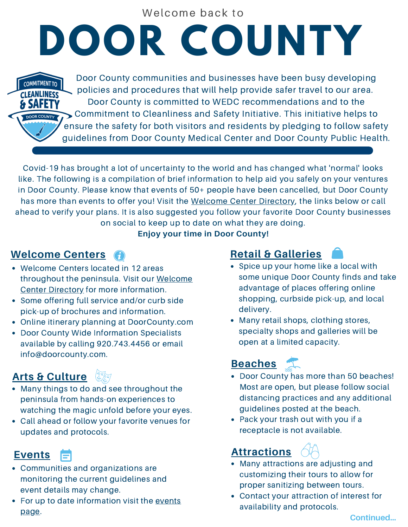Welcome back to

## **DOOR COUNTY**

Door County communities and businesses have been busy developing policies and procedures that will help provide safer travel to our area. Door County is committed to WEDC recommendations and to the Commitment to Cleanliness and Safety Initiative. This initiative helps to ensure the safety for both visitors and residents by pledging to follow safety guidelines from Door County Medical Center and Door County Public Health.

Covid-19 has brought a lot of uncertainty to the world and has changed what 'normal' looks like. The following is a compilation of brief information to help aid you safely on your ventures in Door County. Please know that events of 50+ people have been cancelled, but Door County has more than events to offer you! Visit the [Welcome](https://www.doorcounty.com/visitor-center/) Center Directory, the links below or call ahead to verify your plans. It is also suggested you follow your favorite Door County businesses on social to keep up to date on what they are doing.

#### **Enjoy your time in Door County!**

#### **[Welcome](https://www.doorcounty.com/visitor-center/) Centers**

**COMMITMENT TO CLEANLINESS & SAFETY** 

- Welcome Centers located in 12 areas throughout the peninsula. Visit our Welcome
- Some offering full service and/or curb side shopping pick-up of brochures and information.
- Online itinerary planning at DoorCounty.com
- Door County Wide Information Specialists available by calling 920.743.4456 or email info@doorcounty.com.

#### **Arts & [Culture](https://www.doorcounty.com/experience/arts-culture/)**

- Many things to do and see throughout the peninsula from hands-on experiences to watching the magic unfold before your eyes.
- Call ahead or follow your favorite venues for updates and protocols.

#### **[Events](https://www.doorcounty.com/experience/events/)**

- Communities and organizations are monitoring the current guidelines and event details may change.
- For up to date [information](https://www.doorcounty.com/experience/events/) visit the events page.

#### **Retail & [Galleries](https://www.doorcounty.com/experience/boutiques-retail-specialty-goods/)**

- This publication brought to you [information.](https://www.doorcounty.com/visitor-center/) This publication because of places offering online<br>Center Directory for more information. • Spice up your home like a local with some unique Door County finds and take advantage of places offering online shopping, curbside pick-up, and local delivery.
	- Many retail shops, clothing stores, specialty shops and galleries will be open at a limited capacity.

## **[Beaches](https://www.doorcounty.com/experience/scenic-attractions/beaches/)**

- Door County has more than 50 beaches! Most are open, but please follow social distancing practices and any additional guidelines posted at the beach.
- Pack your trash out with you if a receptacle is not available.

### **[Attractions](https://www.doorcounty.com/experience/)**

- Many attractions are adjusting and customizing their tours to allow for proper sanitizing between tours.
- Contact your attraction of interest for availability and protocols.

**Continued...**